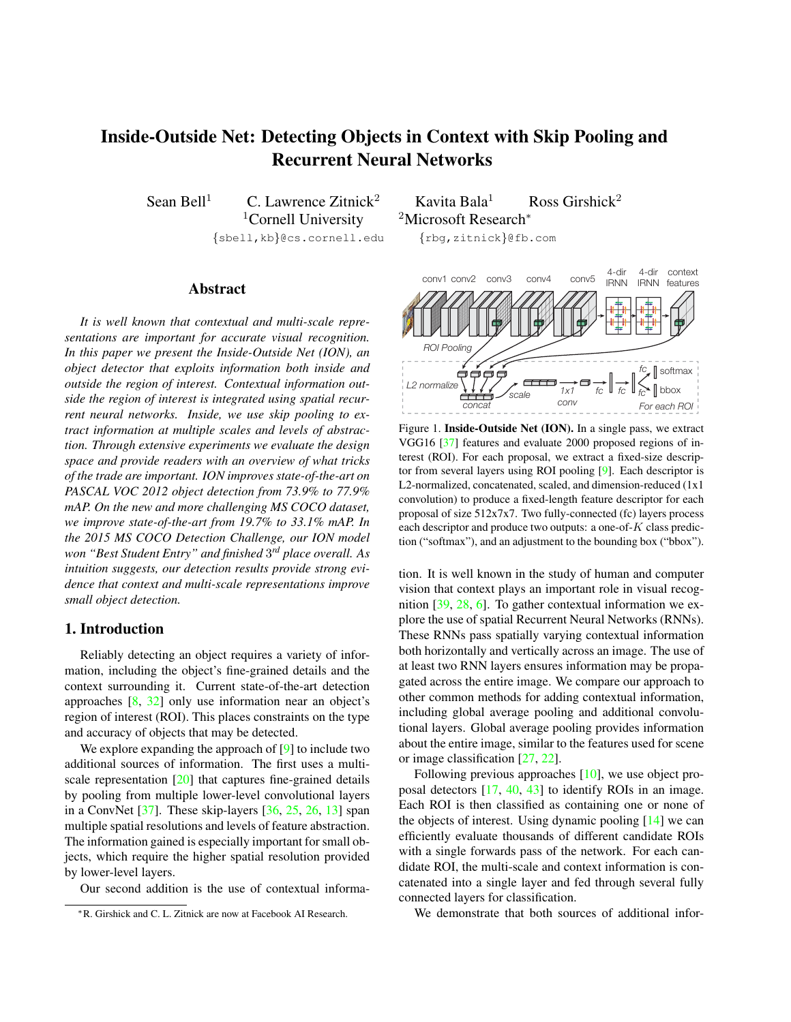# <span id="page-0-1"></span>Inside-Outside Net: Detecting Objects in Context with Skip Pooling and Recurrent Neural Networks

 $1$ Cornell University  $2$ Microsoft Research<sup>∗</sup> {sbell,kb}@cs.cornell.edu {rbg,zitnick}@fb.com

# Abstract

*It is well known that contextual and multi-scale representations are important for accurate visual recognition. In this paper we present the Inside-Outside Net (ION), an object detector that exploits information both inside and outside the region of interest. Contextual information outside the region of interest is integrated using spatial recurrent neural networks. Inside, we use skip pooling to extract information at multiple scales and levels of abstraction. Through extensive experiments we evaluate the design space and provide readers with an overview of what tricks of the trade are important. ION improves state-of-the-art on PASCAL VOC 2012 object detection from 73.9% to 77.9% mAP. On the new and more challenging MS COCO dataset, we improve state-of-the-art from 19.7% to 33.1% mAP. In the 2015 MS COCO Detection Challenge, our ION model won "Best Student Entry" and finished* 3 *rd place overall. As intuition suggests, our detection results provide strong evidence that context and multi-scale representations improve small object detection.*

## 1. Introduction

Reliably detecting an object requires a variety of information, including the object's fine-grained details and the context surrounding it. Current state-of-the-art detection approaches [\[8,](#page-8-0) [32\]](#page-8-1) only use information near an object's region of interest (ROI). This places constraints on the type and accuracy of objects that may be detected.

We explore expanding the approach of [\[9\]](#page-8-2) to include two additional sources of information. The first uses a multi-scale representation [\[20\]](#page-8-3) that captures fine-grained details by pooling from multiple lower-level convolutional layers in a ConvNet  $[37]$ . These skip-layers  $[36, 25, 26, 13]$  $[36, 25, 26, 13]$  $[36, 25, 26, 13]$  $[36, 25, 26, 13]$  $[36, 25, 26, 13]$  $[36, 25, 26, 13]$  $[36, 25, 26, 13]$  span multiple spatial resolutions and levels of feature abstraction. The information gained is especially important for small objects, which require the higher spatial resolution provided by lower-level layers.

Our second addition is the use of contextual informa-

Sean Bell<sup>1</sup> C. Lawrence Zitnick<sup>2</sup> Kavita Bala<sup>1</sup> Ross Girshick<sup>2</sup>



<span id="page-0-0"></span>Figure 1. Inside-Outside Net (ION). In a single pass, we extract VGG16 [\[37\]](#page-8-4) features and evaluate 2000 proposed regions of interest (ROI). For each proposal, we extract a fixed-size descriptor from several layers using ROI pooling [\[9\]](#page-8-2). Each descriptor is L2-normalized, concatenated, scaled, and dimension-reduced (1x1 convolution) to produce a fixed-length feature descriptor for each proposal of size 512x7x7. Two fully-connected (fc) layers process each descriptor and produce two outputs: a one-of- $K$  class prediction ("softmax"), and an adjustment to the bounding box ("bbox").

tion. It is well known in the study of human and computer vision that context plays an important role in visual recognition [\[39,](#page-9-0) [28,](#page-8-9) [6\]](#page-8-10). To gather contextual information we explore the use of spatial Recurrent Neural Networks (RNNs). These RNNs pass spatially varying contextual information both horizontally and vertically across an image. The use of at least two RNN layers ensures information may be propagated across the entire image. We compare our approach to other common methods for adding contextual information, including global average pooling and additional convolutional layers. Global average pooling provides information about the entire image, similar to the features used for scene or image classification [\[27,](#page-8-11) [22\]](#page-8-12).

Following previous approaches [\[10\]](#page-8-13), we use object proposal detectors [\[17,](#page-8-14) [40,](#page-9-1) [43\]](#page-9-2) to identify ROIs in an image. Each ROI is then classified as containing one or none of the objects of interest. Using dynamic pooling  $[14]$  we can efficiently evaluate thousands of different candidate ROIs with a single forwards pass of the network. For each candidate ROI, the multi-scale and context information is concatenated into a single layer and fed through several fully connected layers for classification.

We demonstrate that both sources of additional infor-

<sup>∗</sup>R. Girshick and C. L. Zitnick are now at Facebook AI Research.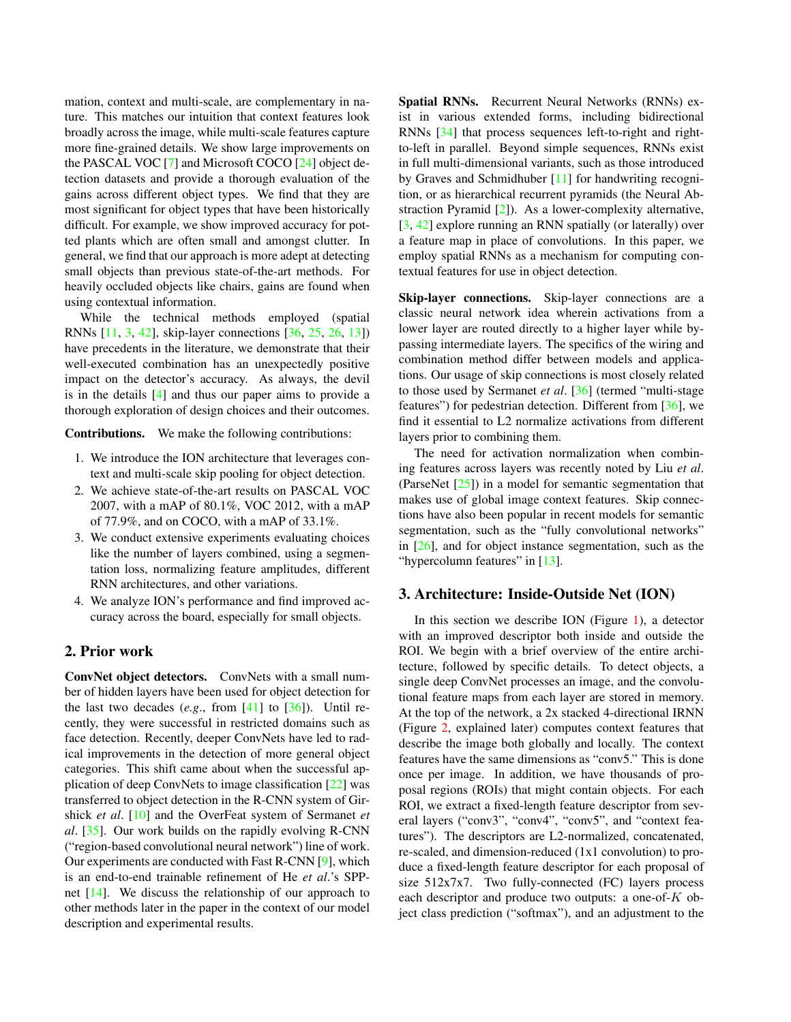<span id="page-1-0"></span>mation, context and multi-scale, are complementary in nature. This matches our intuition that context features look broadly across the image, while multi-scale features capture more fine-grained details. We show large improvements on the PASCAL VOC [\[7\]](#page-8-16) and Microsoft COCO [\[24\]](#page-8-17) object detection datasets and provide a thorough evaluation of the gains across different object types. We find that they are most significant for object types that have been historically difficult. For example, we show improved accuracy for potted plants which are often small and amongst clutter. In general, we find that our approach is more adept at detecting small objects than previous state-of-the-art methods. For heavily occluded objects like chairs, gains are found when using contextual information.

While the technical methods employed (spatial RNNs [\[11,](#page-8-18) [3,](#page-8-19) [42\]](#page-9-3), skip-layer connections [\[36,](#page-8-5) [25,](#page-8-6) [26,](#page-8-7) [13\]](#page-8-8)) have precedents in the literature, we demonstrate that their well-executed combination has an unexpectedly positive impact on the detector's accuracy. As always, the devil is in the details [\[4\]](#page-8-20) and thus our paper aims to provide a thorough exploration of design choices and their outcomes.

Contributions. We make the following contributions:

- 1. We introduce the ION architecture that leverages context and multi-scale skip pooling for object detection.
- 2. We achieve state-of-the-art results on PASCAL VOC 2007, with a mAP of 80.1%, VOC 2012, with a mAP of 77.9%, and on COCO, with a mAP of 33.1%.
- 3. We conduct extensive experiments evaluating choices like the number of layers combined, using a segmentation loss, normalizing feature amplitudes, different RNN architectures, and other variations.
- 4. We analyze ION's performance and find improved accuracy across the board, especially for small objects.

# 2. Prior work

ConvNet object detectors. ConvNets with a small number of hidden layers have been used for object detection for the last two decades  $(e.g., from [41] to [36])$  $(e.g., from [41] to [36])$  $(e.g., from [41] to [36])$  $(e.g., from [41] to [36])$  $(e.g., from [41] to [36])$ . Until recently, they were successful in restricted domains such as face detection. Recently, deeper ConvNets have led to radical improvements in the detection of more general object categories. This shift came about when the successful application of deep ConvNets to image classification [\[22\]](#page-8-12) was transferred to object detection in the R-CNN system of Girshick *et al*. [\[10\]](#page-8-13) and the OverFeat system of Sermanet *et al*. [\[35\]](#page-8-21). Our work builds on the rapidly evolving R-CNN ("region-based convolutional neural network") line of work. Our experiments are conducted with Fast R-CNN [\[9\]](#page-8-2), which is an end-to-end trainable refinement of He *et al*.'s SPPnet [\[14\]](#page-8-15). We discuss the relationship of our approach to other methods later in the paper in the context of our model description and experimental results.

Spatial RNNs. Recurrent Neural Networks (RNNs) exist in various extended forms, including bidirectional RNNs [\[34\]](#page-8-22) that process sequences left-to-right and rightto-left in parallel. Beyond simple sequences, RNNs exist in full multi-dimensional variants, such as those introduced by Graves and Schmidhuber [\[11\]](#page-8-18) for handwriting recognition, or as hierarchical recurrent pyramids (the Neural Abstraction Pyramid [\[2\]](#page-8-23)). As a lower-complexity alternative, [\[3,](#page-8-19) [42\]](#page-9-3) explore running an RNN spatially (or laterally) over a feature map in place of convolutions. In this paper, we employ spatial RNNs as a mechanism for computing contextual features for use in object detection.

Skip-layer connections. Skip-layer connections are a classic neural network idea wherein activations from a lower layer are routed directly to a higher layer while bypassing intermediate layers. The specifics of the wiring and combination method differ between models and applications. Our usage of skip connections is most closely related to those used by Sermanet *et al*. [\[36\]](#page-8-5) (termed "multi-stage features") for pedestrian detection. Different from [\[36\]](#page-8-5), we find it essential to L2 normalize activations from different layers prior to combining them.

The need for activation normalization when combining features across layers was recently noted by Liu *et al*. (ParseNet [\[25\]](#page-8-6)) in a model for semantic segmentation that makes use of global image context features. Skip connections have also been popular in recent models for semantic segmentation, such as the "fully convolutional networks" in [\[26\]](#page-8-7), and for object instance segmentation, such as the "hypercolumn features" in [\[13\]](#page-8-8).

## 3. Architecture: Inside-Outside Net (ION)

In this section we describe ION (Figure  $1$ ), a detector with an improved descriptor both inside and outside the ROI. We begin with a brief overview of the entire architecture, followed by specific details. To detect objects, a single deep ConvNet processes an image, and the convolutional feature maps from each layer are stored in memory. At the top of the network, a 2x stacked 4-directional IRNN (Figure [2,](#page-2-0) explained later) computes context features that describe the image both globally and locally. The context features have the same dimensions as "conv5." This is done once per image. In addition, we have thousands of proposal regions (ROIs) that might contain objects. For each ROI, we extract a fixed-length feature descriptor from several layers ("conv3", "conv4", "conv5", and "context features"). The descriptors are L2-normalized, concatenated, re-scaled, and dimension-reduced (1x1 convolution) to produce a fixed-length feature descriptor for each proposal of size  $512x7x7$ . Two fully-connected (FC) layers process each descriptor and produce two outputs: a one-of- $K$  object class prediction ("softmax"), and an adjustment to the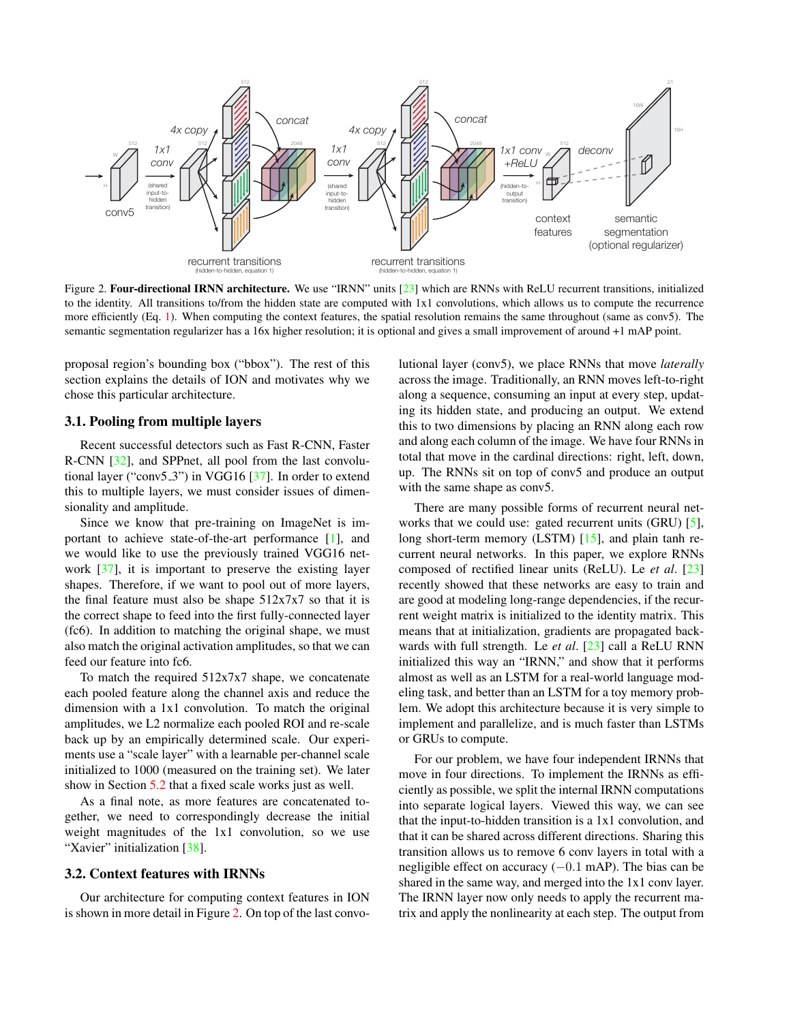<span id="page-2-2"></span>

<span id="page-2-0"></span>Figure 2. Four-directional IRNN architecture. We use "IRNN" units [\[23\]](#page-8-24) which are RNNs with ReLU recurrent transitions, initialized to the identity. All transitions to/from the hidden state are computed with 1x1 convolutions, which allows us to compute the recurrence more efficiently (Eq. [1\)](#page-3-0). When computing the context features, the spatial resolution remains the same throughout (same as conv5). The semantic segmentation regularizer has a 16x higher resolution; it is optional and gives a small improvement of around +1 mAP point.

proposal region's bounding box ("bbox"). The rest of this section explains the details of ION and motivates why we chose this particular architecture.

#### <span id="page-2-1"></span>3.1. Pooling from multiple layers

Recent successful detectors such as Fast R-CNN, Faster R-CNN [\[32\]](#page-8-1), and SPPnet, all pool from the last convolutional layer ("conv5 3") in VGG16 [\[37\]](#page-8-4). In order to extend this to multiple layers, we must consider issues of dimensionality and amplitude.

Since we know that pre-training on ImageNet is important to achieve state-of-the-art performance [\[1\]](#page-8-25), and we would like to use the previously trained VGG16 network [\[37\]](#page-8-4), it is important to preserve the existing layer shapes. Therefore, if we want to pool out of more layers, the final feature must also be shape 512x7x7 so that it is the correct shape to feed into the first fully-connected layer (fc6). In addition to matching the original shape, we must also match the original activation amplitudes, so that we can feed our feature into fc6.

To match the required  $512x7x7$  shape, we concatenate each pooled feature along the channel axis and reduce the dimension with a 1x1 convolution. To match the original amplitudes, we L2 normalize each pooled ROI and re-scale back up by an empirically determined scale. Our experiments use a "scale layer" with a learnable per-channel scale initialized to 1000 (measured on the training set). We later show in Section [5.2](#page-6-0) that a fixed scale works just as well.

As a final note, as more features are concatenated together, we need to correspondingly decrease the initial weight magnitudes of the 1x1 convolution, so we use "Xavier" initialization [\[38\]](#page-8-26).

#### 3.2. Context features with IRNNs

Our architecture for computing context features in ION is shown in more detail in Figure [2.](#page-2-0) On top of the last convolutional layer (conv5), we place RNNs that move *laterally* across the image. Traditionally, an RNN moves left-to-right along a sequence, consuming an input at every step, updating its hidden state, and producing an output. We extend this to two dimensions by placing an RNN along each row and along each column of the image. We have four RNNs in total that move in the cardinal directions: right, left, down, up. The RNNs sit on top of conv5 and produce an output with the same shape as conv5.

There are many possible forms of recurrent neural networks that we could use: gated recurrent units (GRU) [\[5\]](#page-8-27), long short-term memory (LSTM) [\[15\]](#page-8-28), and plain tanh recurrent neural networks. In this paper, we explore RNNs composed of rectified linear units (ReLU). Le *et al*. [\[23\]](#page-8-24) recently showed that these networks are easy to train and are good at modeling long-range dependencies, if the recurrent weight matrix is initialized to the identity matrix. This means that at initialization, gradients are propagated backwards with full strength. Le *et al*. [\[23\]](#page-8-24) call a ReLU RNN initialized this way an "IRNN," and show that it performs almost as well as an LSTM for a real-world language modeling task, and better than an LSTM for a toy memory problem. We adopt this architecture because it is very simple to implement and parallelize, and is much faster than LSTMs or GRUs to compute.

For our problem, we have four independent IRNNs that move in four directions. To implement the IRNNs as efficiently as possible, we split the internal IRNN computations into separate logical layers. Viewed this way, we can see that the input-to-hidden transition is a 1x1 convolution, and that it can be shared across different directions. Sharing this transition allows us to remove 6 conv layers in total with a negligible effect on accuracy  $(-0.1 \text{ mAP})$ . The bias can be shared in the same way, and merged into the 1x1 conv layer. The IRNN layer now only needs to apply the recurrent matrix and apply the nonlinearity at each step. The output from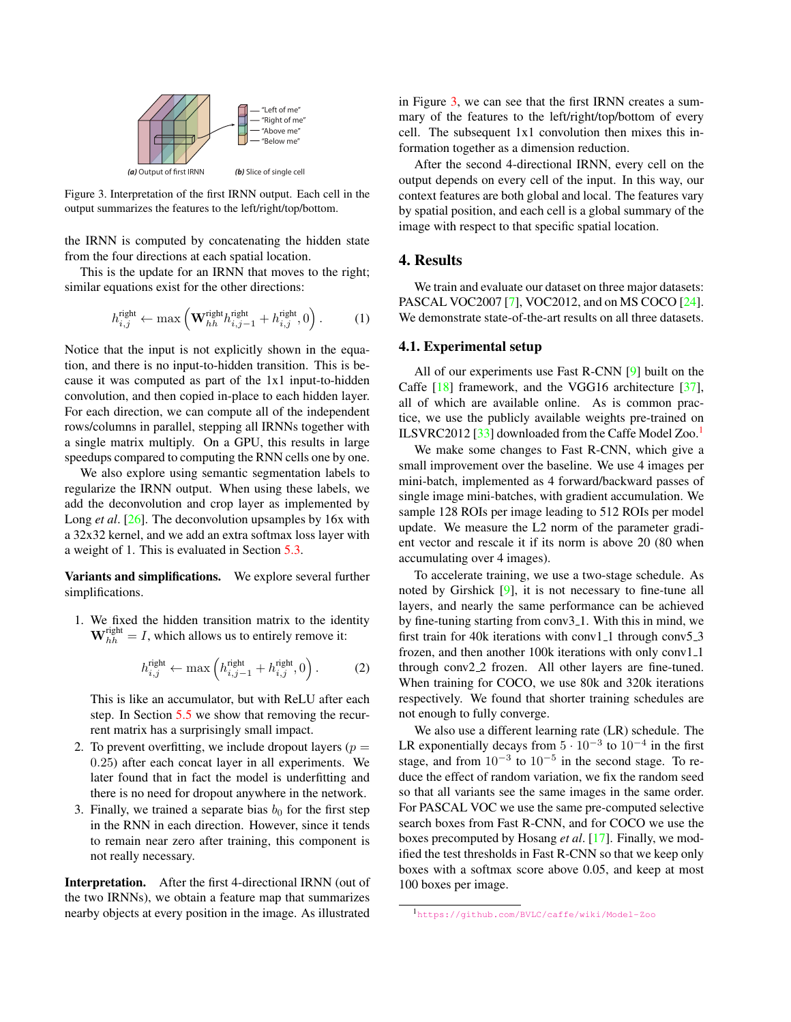<span id="page-3-4"></span>

<span id="page-3-1"></span>Figure 3. Interpretation of the first IRNN output. Each cell in the output summarizes the features to the left/right/top/bottom.

the IRNN is computed by concatenating the hidden state from the four directions at each spatial location.

This is the update for an IRNN that moves to the right; similar equations exist for the other directions:

$$
h_{i,j}^{\text{right}} \leftarrow \max\left(\mathbf{W}_{hh}^{\text{right}} h_{i,j-1}^{\text{right}} + h_{i,j}^{\text{right}}, 0\right). \tag{1}
$$

Notice that the input is not explicitly shown in the equation, and there is no input-to-hidden transition. This is because it was computed as part of the 1x1 input-to-hidden convolution, and then copied in-place to each hidden layer. For each direction, we can compute all of the independent rows/columns in parallel, stepping all IRNNs together with a single matrix multiply. On a GPU, this results in large speedups compared to computing the RNN cells one by one.

We also explore using semantic segmentation labels to regularize the IRNN output. When using these labels, we add the deconvolution and crop layer as implemented by Long *et al.* [\[26\]](#page-8-7). The deconvolution upsamples by 16x with a 32x32 kernel, and we add an extra softmax loss layer with a weight of 1. This is evaluated in Section [5.3.](#page-6-1)

Variants and simplifications. We explore several further simplifications.

1. We fixed the hidden transition matrix to the identity  $\mathbf{W}_{hh}^{\text{right}} = I$ , which allows us to entirely remove it:

$$
h_{i,j}^{\text{right}} \leftarrow \max\left(h_{i,j-1}^{\text{right}} + h_{i,j}^{\text{right}}, 0\right). \tag{2}
$$

This is like an accumulator, but with ReLU after each step. In Section [5.5](#page-7-0) we show that removing the recurrent matrix has a surprisingly small impact.

- 2. To prevent overfitting, we include dropout layers ( $p =$ 0.25) after each concat layer in all experiments. We later found that in fact the model is underfitting and there is no need for dropout anywhere in the network.
- 3. Finally, we trained a separate bias  $b_0$  for the first step in the RNN in each direction. However, since it tends to remain near zero after training, this component is not really necessary.

Interpretation. After the first 4-directional IRNN (out of the two IRNNs), we obtain a feature map that summarizes nearby objects at every position in the image. As illustrated

in Figure [3,](#page-3-1) we can see that the first IRNN creates a summary of the features to the left/right/top/bottom of every cell. The subsequent 1x1 convolution then mixes this information together as a dimension reduction.

After the second 4-directional IRNN, every cell on the output depends on every cell of the input. In this way, our context features are both global and local. The features vary by spatial position, and each cell is a global summary of the image with respect to that specific spatial location.

# 4. Results

<span id="page-3-0"></span>We train and evaluate our dataset on three major datasets: PASCAL VOC2007 [\[7\]](#page-8-16), VOC2012, and on MS COCO [\[24\]](#page-8-17). We demonstrate state-of-the-art results on all three datasets.

#### <span id="page-3-3"></span>4.1. Experimental setup

All of our experiments use Fast R-CNN [\[9\]](#page-8-2) built on the Caffe [\[18\]](#page-8-29) framework, and the VGG16 architecture [\[37\]](#page-8-4), all of which are available online. As is common practice, we use the publicly available weights pre-trained on ILSVRC2012 [\[33\]](#page-8-30) downloaded from the Caffe Model Zoo.<sup>[1](#page-3-2)</sup>

We make some changes to Fast R-CNN, which give a small improvement over the baseline. We use 4 images per mini-batch, implemented as 4 forward/backward passes of single image mini-batches, with gradient accumulation. We sample 128 ROIs per image leading to 512 ROIs per model update. We measure the L2 norm of the parameter gradient vector and rescale it if its norm is above 20 (80 when accumulating over 4 images).

To accelerate training, we use a two-stage schedule. As noted by Girshick [\[9\]](#page-8-2), it is not necessary to fine-tune all layers, and nearly the same performance can be achieved by fine-tuning starting from conv3<sub>-1</sub>. With this in mind, we first train for 40k iterations with conv1 $\text{-}1$  through conv5 $\text{-}3$ frozen, and then another 100k iterations with only conv1\_1 through conv2.2 frozen. All other layers are fine-tuned. When training for COCO, we use 80k and 320k iterations respectively. We found that shorter training schedules are not enough to fully converge.

We also use a different learning rate (LR) schedule. The LR exponentially decays from  $5 \cdot 10^{-3}$  to  $10^{-4}$  in the first stage, and from  $10^{-3}$  to  $10^{-5}$  in the second stage. To reduce the effect of random variation, we fix the random seed so that all variants see the same images in the same order. For PASCAL VOC we use the same pre-computed selective search boxes from Fast R-CNN, and for COCO we use the boxes precomputed by Hosang *et al*. [\[17\]](#page-8-14). Finally, we modified the test thresholds in Fast R-CNN so that we keep only boxes with a softmax score above 0.05, and keep at most 100 boxes per image.

<span id="page-3-2"></span><sup>1</sup><https://github.com/BVLC/caffe/wiki/Model-Zoo>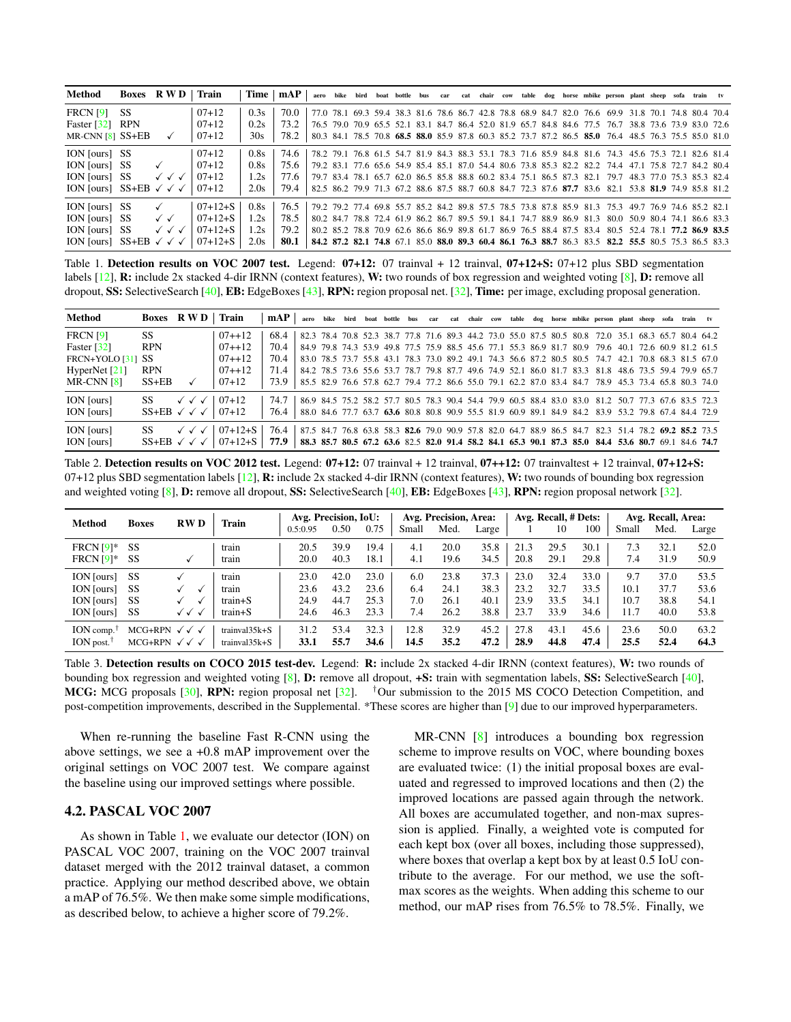<span id="page-4-3"></span>

| Method                                   |           | Boxes RWD                              | Train     |      | $Time \mid mAP \mid$ |  |  |  |  |  |  |                                                                       | aero bike bird boat bottle bus car cat chair cow table dog horse mbike person plant sheep sofa train tv |  |  |  |
|------------------------------------------|-----------|----------------------------------------|-----------|------|----------------------|--|--|--|--|--|--|-----------------------------------------------------------------------|---------------------------------------------------------------------------------------------------------|--|--|--|
| <b>FRCN</b> [9]                          | <b>SS</b> |                                        | $07+12$   | 0.3s | 70.0                 |  |  |  |  |  |  |                                                                       | 77.0 78.1 69.3 59.4 38.3 81.6 78.6 86.7 42.8 78.8 68.9 84.7 82.0 76.6 69.9 31.8 70.1 74.8 80.4 70.4     |  |  |  |
| Faster $\lceil 32 \rceil$                | RPN       |                                        | $07+12$   | 0.2s | 73.2                 |  |  |  |  |  |  |                                                                       | 76.5 79.0 70.9 65.5 52.1 83.1 84.7 86.4 52.0 81.9 65.7 84.8 84.6 77.5 76.7 38.8 73.6 73.9 83.0 72.6     |  |  |  |
| MR-CNN $[8]$ SS+EB                       |           | $\checkmark$                           | $07 + 12$ | 30s  | 78.2                 |  |  |  |  |  |  |                                                                       | 80.3 84.1 78.5 70.8 68.5 88.0 85.9 87.8 60.3 85.2 73.7 87.2 86.5 85.0 76.4 48.5 76.3 75.5 85.0 81.0     |  |  |  |
| ION [ours] SS                            |           |                                        | $07 + 12$ | 0.8s | 74.6                 |  |  |  |  |  |  |                                                                       | 78.2 79.1 76.8 61.5 54.7 81.9 84.3 88.3 53.1 78.3 71.6 85.9 84.8 81.6 74.3 45.6 75.3 72.1 82.6 81.4     |  |  |  |
| ION [ours] SS                            |           |                                        | $07 + 12$ | 0.8s | 75.6                 |  |  |  |  |  |  |                                                                       | 79.2 83.1 77.6 65.6 54.9 85.4 85.1 87.0 54.4 80.6 73.8 85.3 82.2 82.2 74.4 47.1 75.8 72.7 84.2 80.4     |  |  |  |
| ION [ours] SS                            |           | $\checkmark$ $\checkmark$ $\checkmark$ | $07+12$   | 1.2s | 77.6                 |  |  |  |  |  |  |                                                                       | 79.7 83.4 78.1 65.7 62.0 86.5 85.8 88.8 60.2 83.4 75.1 86.5 87.3 82.1 79.7 48.3 77.0 75.3 85.3 82.4     |  |  |  |
| ION [ours] SS+EB $\checkmark \checkmark$ |           |                                        | $07 + 12$ | 2.0s | 79.4                 |  |  |  |  |  |  |                                                                       | 82.5 86.2 79.9 71.3 67.2 88.6 87.5 88.7 60.8 84.7 72.3 87.6 87.7 83.6 82.1 53.8 81.9 74.9 85.8 81.2     |  |  |  |
| ION [ours] SS                            |           |                                        | $07+12+S$ | 0.8s | 76.5                 |  |  |  |  |  |  |                                                                       | 79.2 79.2 77.4 69.8 55.7 85.2 84.2 89.8 57.5 78.5 73.8 87.8 85.9 81.3 75.3 49.7 76.9 74.6 85.2 82.1     |  |  |  |
| ION [ours] SS                            |           | $\checkmark$                           | $07+12+S$ | 1.2s | 78.5                 |  |  |  |  |  |  | 80.2 84.7 78.8 72.4 61.9 86.2 86.7 89.5 59.1 84.1 74.7 88.9 86.9 81.3 | 80.0 50.9 80.4 74.1 86.6 83.3                                                                           |  |  |  |
| ION [ours] SS                            |           | $\checkmark$ $\checkmark$ $\checkmark$ | $07+12+S$ | 1.2s | 79.2                 |  |  |  |  |  |  |                                                                       | 80.2 85.2 78.8 70.9 62.6 86.6 86.9 89.8 61.7 86.9 76.5 88.4 87.5 83.4 80.5 52.4 78.1 77.2 86.9 83.5     |  |  |  |
| ION [ours] SS+EB $\checkmark \checkmark$ |           |                                        | $07+12+S$ | 2.0s | 80.1                 |  |  |  |  |  |  |                                                                       | 84.2 87.2 82.1 74.8 67.1 85.0 88.0 89.3 60.4 86.1 76.3 88.7 86.3 83.5 82.2 55.5 80.5 75.3 86.5 83.3     |  |  |  |

<span id="page-4-0"></span>Table 1. Detection results on VOC 2007 test. Legend: 07+12: 07 trainval + 12 trainval, 07+12+S: 07+12 plus SBD segmentation labels [\[12\]](#page-8-31), **R:** include 2x stacked 4-dir IRNN (context features), W: two rounds of box regression and weighted voting [\[8\]](#page-8-0), D: remove all dropout, SS: SelectiveSearch [\[40\]](#page-9-1), EB: EdgeBoxes [\[43\]](#page-9-2), RPN: region proposal net. [\[32\]](#page-8-1), Time: per image, excluding proposal generation.

| Method                | Boxes RWD                                    |                                        | Train     | mAP  |  |  |  |  |  |  |  | aero bike bird boat bottle bus car cat chair cow table dog horse mbike person plant sheep sofa train tv |  |  |  |
|-----------------------|----------------------------------------------|----------------------------------------|-----------|------|--|--|--|--|--|--|--|---------------------------------------------------------------------------------------------------------|--|--|--|
| <b>FRCN</b> [9]       | SS.                                          |                                        | $07 + 12$ | 68.4 |  |  |  |  |  |  |  | 82.3 78.4 70.8 52.3 38.7 77.8 71.6 89.3 44.2 73.0 55.0 87.5 80.5 80.8 72.0 35.1 68.3 65.7 80.4 64.2     |  |  |  |
| Faster [32]           | <b>RPN</b>                                   |                                        | $07 + 12$ | 70.4 |  |  |  |  |  |  |  | 84.9 79.8 74.3 53.9 49.8 77.5 75.9 88.5 45.6 77.1 55.3 86.9 81.7 80.9 79.6 40.1 72.6 60.9 81.2 61.5     |  |  |  |
| $FRCN+YOLO$ [31] $SS$ |                                              |                                        | $07 + 12$ | 70.4 |  |  |  |  |  |  |  | 83.0 78.5 73.7 55.8 43.1 78.3 73.0 89.2 49.1 74.3 56.6 87.2 80.5 80.5 74.7 42.1 70.8 68.3 81.5 67.0     |  |  |  |
| HyperNet $[21]$       | <b>RPN</b>                                   |                                        | $07 + 12$ | 71.4 |  |  |  |  |  |  |  | 84.2 78.5 73.6 55.6 53.7 78.7 79.8 87.7 49.6 74.9 52.1 86.0 81.7 83.3 81.8 48.6 73.5 59.4 79.9 65.7     |  |  |  |
| $MR-CNN [8]$          | $SS+EB$                                      |                                        | $07 + 12$ | 73.9 |  |  |  |  |  |  |  | 85.5 82.9 76.6 57.8 62.7 79.4 77.2 86.6 55.0 79.1 62.2 87.0 83.4 84.7 78.9 45.3 73.4 65.8 80.3 74.0     |  |  |  |
| <b>ION</b> [ours]     | SS.                                          | $\checkmark$ $\checkmark$ $\checkmark$ | $07 + 12$ | 74.7 |  |  |  |  |  |  |  | 86.9 84.5 75.2 58.2 57.7 80.5 78.3 90.4 54.4 79.9 60.5 88.4 83.0 83.0 81.2 50.7 77.3 67.6 83.5 72.3     |  |  |  |
| ION [ours]            | SS+EB $\checkmark$ $\checkmark$ $\checkmark$ |                                        | $07+12$   | 76.4 |  |  |  |  |  |  |  | 88.0 84.6 77.7 63.7 63.6 80.8 80.8 90.9 55.5 81.9 60.9 89.1 84.9 84.2 83.9 53.2 79.8 67.4 84.4 72.9     |  |  |  |
| ION [ours]            | SS.                                          | $\checkmark$ $\checkmark$ $\checkmark$ | $07+12+S$ | 76.4 |  |  |  |  |  |  |  | 87.5 84.7 76.8 63.8 58.3 82.6 79.0 90.9 57.8 82.0 64.7 88.9 86.5 84.7 82.3 51.4 78.2 69.2 85.2 73.5     |  |  |  |
| ION [ours]            | $SS+EB \checkmark \checkmark$                |                                        | $07+12+S$ | 77.9 |  |  |  |  |  |  |  | 88.3 85.7 80.5 67.2 63.6 82.5 82.0 91.4 58.2 84.1 65.3 90.1 87.3 85.0 84.4 53.6 80.7 69.1 84.6 74.7     |  |  |  |

<span id="page-4-1"></span>Table 2. Detection results on VOC 2012 test. Legend: 07+12: 07 trainval + 12 trainval, 07++12: 07 trainvaltest + 12 trainval, 07+12+S:  $07+12$  plus SBD segmentation labels  $[12]$ , R: include 2x stacked 4-dir IRNN (context features), W: two rounds of bounding box regression and weighted voting [\[8\]](#page-8-0), D: remove all dropout, SS: SelectiveSearch [\[40\]](#page-9-1), EB: EdgeBoxes [\[43\]](#page-9-2), RPN: region proposal network [\[32\]](#page-8-1).

| Method                              | <b>Boxes</b>                    | <b>RWD</b>         | Train             | Avg. Precision, IoU: |      |      |       | Avg. Precision, Area: |       |      | Avg. Recall, # Dets: |      | Avg. Recall, Area: |      |       |
|-------------------------------------|---------------------------------|--------------------|-------------------|----------------------|------|------|-------|-----------------------|-------|------|----------------------|------|--------------------|------|-------|
|                                     |                                 |                    |                   | 0.5:0.95             | 0.50 | 0.75 | Small | Med.                  | Large |      | 10                   | 100  | Small              | Med. | Large |
| $FRCN[9]*$                          | SS                              |                    | train             | 20.5                 | 39.9 | 19.4 | 4.1   | 20.0                  | 35.8  | 21.3 | 29.5                 | 30.1 | 7.3                | 32.1 | 52.0  |
| $FRCN[9]*$                          | SS                              |                    | train             | 20.0                 | 40.3 | 18.1 | 4.1   | 19.6                  | 34.5  | 20.8 | 29.1                 | 29.8 | 7.4                | 31.9 | 50.9  |
| <b>ION</b> [ours]                   | SS                              |                    | train             | 23.0                 | 42.0 | 23.0 | 6.0   | 23.8                  | 37.3  | 23.0 | 32.4                 | 33.0 | 9.7                | 37.0 | 53.5  |
| <b>ION</b> Jours                    | SS                              |                    | train             | 23.6                 | 43.2 | 23.6 | 6.4   | 24.1                  | 38.3  | 23.2 | 32.7                 | 33.5 | 10.1               | 37.7 | 53.6  |
| <b>ION [ours]</b>                   | <b>SS</b>                       |                    | $train + S$       | 24.9                 | 44.7 | 25.3 | 7.0   | 26.1                  | 40.1  | 23.9 | 33.5                 | 34.1 | 10.7               | 38.8 | 54.1  |
| ION [ours]                          | SS                              | ✓✓<br>$\checkmark$ | $train + S$       | 24.6                 | 46.3 | 23.3 | 7.4   | 26.2                  | 38.8  | 23.7 | 33.9                 | 34.6 | 11.7               | 40.0 | 53.8  |
| ION comp. $1$                       | $MCG+RPN \checkmark$            |                    | $trainval35k + S$ | 31.2                 | 53.4 | 32.3 | 12.8  | 32.9                  | 45.2  | 27.8 | 43.1                 | 45.6 | 23.6               | 50.0 | 63.2  |
| ION post. <sup><math>†</math></sup> | MCG+RPN $\checkmark \checkmark$ |                    | trainval35k+S     | 33.1                 | 55.7 | 34.6 | 14.5  | 35.2                  | 47.2  | 28.9 | 44.8                 | 47.4 | 25.5               | 52.4 | 64.3  |

<span id="page-4-2"></span>Table 3. Detection results on COCO 2015 test-dev. Legend: R: include 2x stacked 4-dir IRNN (context features), W: two rounds of bounding box regression and weighted voting [\[8\]](#page-8-0), D: remove all dropout, +S: train with segmentation labels, SS: SelectiveSearch [\[40\]](#page-9-1), MCG: MCG proposals [\[30\]](#page-8-34), RPN: region proposal net [\[32\]](#page-8-1). <sup>†</sup>Our submission to the 2015 MS COCO Detection Competition, and post-competition improvements, described in the Supplemental. \*These scores are higher than [\[9\]](#page-8-2) due to our improved hyperparameters.

When re-running the baseline Fast R-CNN using the above settings, we see a +0.8 mAP improvement over the original settings on VOC 2007 test. We compare against the baseline using our improved settings where possible.

# 4.2. PASCAL VOC 2007

As shown in Table [1,](#page-4-0) we evaluate our detector (ION) on PASCAL VOC 2007, training on the VOC 2007 trainval dataset merged with the 2012 trainval dataset, a common practice. Applying our method described above, we obtain a mAP of 76.5%. We then make some simple modifications, as described below, to achieve a higher score of 79.2%.

MR-CNN [\[8\]](#page-8-0) introduces a bounding box regression scheme to improve results on VOC, where bounding boxes are evaluated twice: (1) the initial proposal boxes are evaluated and regressed to improved locations and then (2) the improved locations are passed again through the network. All boxes are accumulated together, and non-max supression is applied. Finally, a weighted vote is computed for each kept box (over all boxes, including those suppressed), where boxes that overlap a kept box by at least 0.5 IoU contribute to the average. For our method, we use the softmax scores as the weights. When adding this scheme to our method, our mAP rises from 76.5% to 78.5%. Finally, we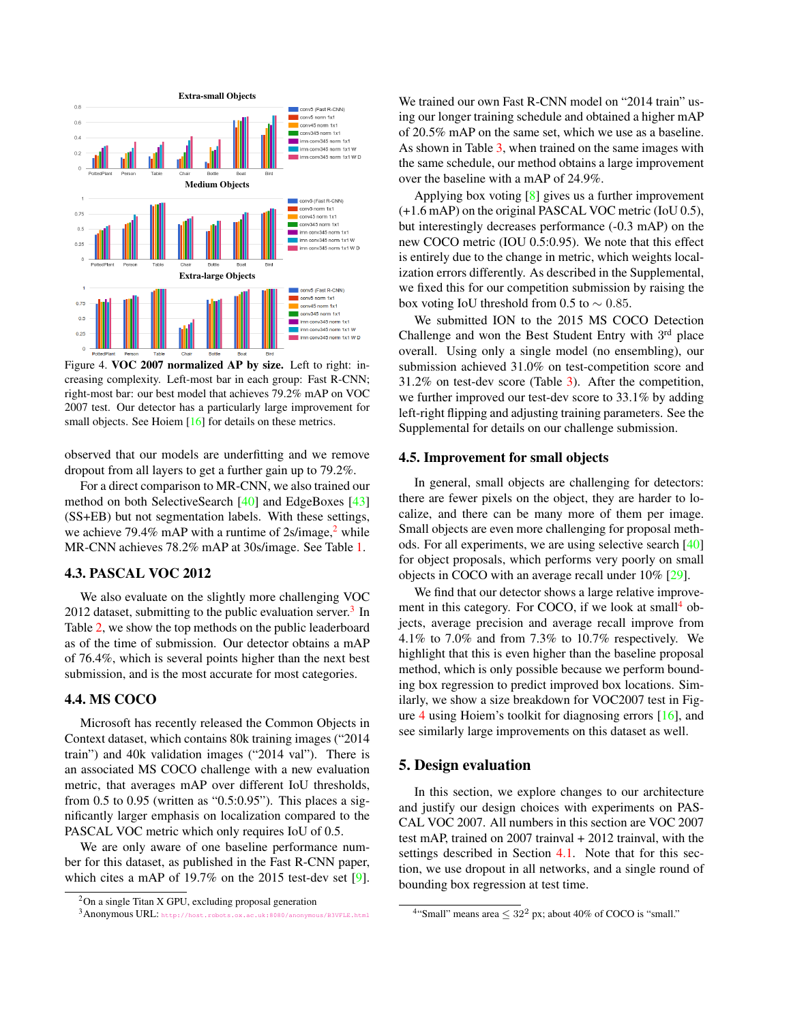<span id="page-5-4"></span>

<span id="page-5-3"></span>Figure 4. VOC 2007 normalized AP by size. Left to right: increasing complexity. Left-most bar in each group: Fast R-CNN; right-most bar: our best model that achieves 79.2% mAP on VOC 2007 test. Our detector has a particularly large improvement for small objects. See Hoiem [\[16\]](#page-8-35) for details on these metrics.

observed that our models are underfitting and we remove dropout from all layers to get a further gain up to 79.2%.

For a direct comparison to MR-CNN, we also trained our method on both SelectiveSearch [\[40\]](#page-9-1) and EdgeBoxes [\[43\]](#page-9-2) (SS+EB) but not segmentation labels. With these settings, we achieve 79.4% mAP with a runtime of  $2s/image,$  $2s/image,$ <sup>2</sup> while MR-CNN achieves 78.2% mAP at 30s/image. See Table [1.](#page-4-0)

# 4.3. PASCAL VOC 2012

We also evaluate on the slightly more challenging VOC 2012 dataset, submitting to the public evaluation server.<sup>[3](#page-5-1)</sup> In Table [2,](#page-4-1) we show the top methods on the public leaderboard as of the time of submission. Our detector obtains a mAP of 76.4%, which is several points higher than the next best submission, and is the most accurate for most categories.

## 4.4. MS COCO

Microsoft has recently released the Common Objects in Context dataset, which contains 80k training images ("2014 train") and 40k validation images ("2014 val"). There is an associated MS COCO challenge with a new evaluation metric, that averages mAP over different IoU thresholds, from 0.5 to 0.95 (written as "0.5:0.95"). This places a significantly larger emphasis on localization compared to the PASCAL VOC metric which only requires IoU of 0.5.

We are only aware of one baseline performance number for this dataset, as published in the Fast R-CNN paper, which cites a mAP of 19.7% on the 2015 test-dev set [\[9\]](#page-8-2). We trained our own Fast R-CNN model on "2014 train" using our longer training schedule and obtained a higher mAP of 20.5% mAP on the same set, which we use as a baseline. As shown in Table [3,](#page-4-2) when trained on the same images with the same schedule, our method obtains a large improvement over the baseline with a mAP of 24.9%.

Applying box voting [\[8\]](#page-8-0) gives us a further improvement (+1.6 mAP) on the original PASCAL VOC metric (IoU 0.5), but interestingly decreases performance (-0.3 mAP) on the new COCO metric (IOU 0.5:0.95). We note that this effect is entirely due to the change in metric, which weights localization errors differently. As described in the Supplemental, we fixed this for our competition submission by raising the box voting IoU threshold from 0.5 to  $\sim$  0.85.

We submitted ION to the 2015 MS COCO Detection Challenge and won the Best Student Entry with 3<sup>rd</sup> place overall. Using only a single model (no ensembling), our submission achieved 31.0% on test-competition score and 31.2% on test-dev score (Table [3\)](#page-4-2). After the competition, we further improved our test-dev score to 33.1% by adding left-right flipping and adjusting training parameters. See the Supplemental for details on our challenge submission.

#### 4.5. Improvement for small objects

In general, small objects are challenging for detectors: there are fewer pixels on the object, they are harder to localize, and there can be many more of them per image. Small objects are even more challenging for proposal methods. For all experiments, we are using selective search [\[40\]](#page-9-1) for object proposals, which performs very poorly on small objects in COCO with an average recall under 10% [\[29\]](#page-8-36).

We find that our detector shows a large relative improve-ment in this category. For COCO, if we look at small<sup>[4](#page-5-2)</sup> objects, average precision and average recall improve from 4.1% to 7.0% and from 7.3% to 10.7% respectively. We highlight that this is even higher than the baseline proposal method, which is only possible because we perform bounding box regression to predict improved box locations. Similarly, we show a size breakdown for VOC2007 test in Figure [4](#page-5-3) using Hoiem's toolkit for diagnosing errors [\[16\]](#page-8-35), and see similarly large improvements on this dataset as well.

#### 5. Design evaluation

In this section, we explore changes to our architecture and justify our design choices with experiments on PAS-CAL VOC 2007. All numbers in this section are VOC 2007 test mAP, trained on 2007 trainval + 2012 trainval, with the settings described in Section [4.1.](#page-3-3) Note that for this section, we use dropout in all networks, and a single round of bounding box regression at test time.

<span id="page-5-0"></span><sup>2</sup>On a single Titan X GPU, excluding proposal generation

<span id="page-5-1"></span><sup>3</sup>Anonymous URL: <http://host.robots.ox.ac.uk:8080/anonymous/B3VFLE.html>

<span id="page-5-2"></span><sup>&</sup>lt;sup>4</sup>"Small" means area  $\leq 32^2$  px; about 40% of COCO is "small."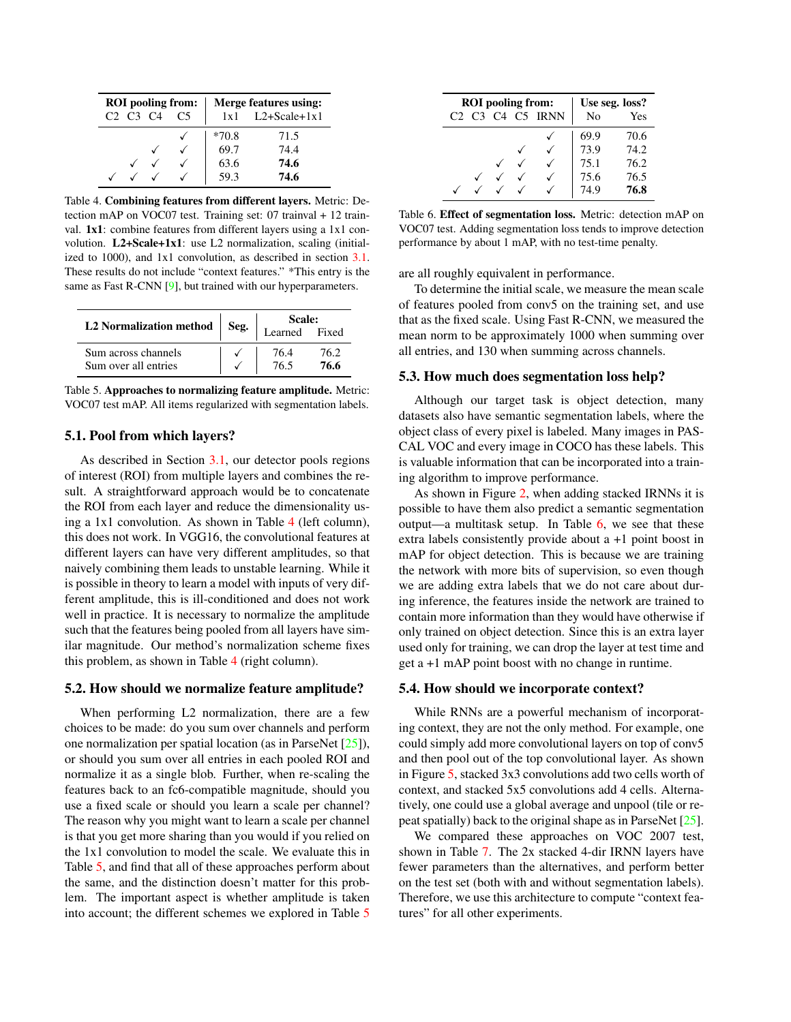<span id="page-6-5"></span>

|                                              | <b>ROI</b> pooling from: |         | Merge features using: |
|----------------------------------------------|--------------------------|---------|-----------------------|
| C <sub>2</sub> C <sub>3</sub> C <sub>4</sub> | C <sub>5</sub>           |         | $1x1$ L2+Scale+ $1x1$ |
|                                              |                          | $*70.8$ | 71.5                  |
|                                              |                          | 69.7    | 74.4                  |
|                                              |                          | 63.6    | 74.6                  |
|                                              |                          | 59.3    | 74.6                  |

<span id="page-6-2"></span>Table 4. Combining features from different layers. Metric: Detection mAP on VOC07 test. Training set: 07 trainval + 12 trainval. 1x1: combine features from different layers using a 1x1 convolution. L2+Scale+1x1: use L2 normalization, scaling (initialized to 1000), and 1x1 convolution, as described in section [3.1.](#page-2-1) These results do not include "context features." \*This entry is the same as Fast R-CNN [\[9\]](#page-8-2), but trained with our hyperparameters.

| L2 Normalization method |      | Scale:        |      |  |  |  |
|-------------------------|------|---------------|------|--|--|--|
|                         | Seg. | Learned Fixed |      |  |  |  |
| Sum across channels     |      | 76.4          | 76.2 |  |  |  |
| Sum over all entries    |      | 76.5          | 76.6 |  |  |  |

<span id="page-6-3"></span>Table 5. Approaches to normalizing feature amplitude. Metric: VOC07 test mAP. All items regularized with segmentation labels.

## 5.1. Pool from which layers?

As described in Section [3.1,](#page-2-1) our detector pools regions of interest (ROI) from multiple layers and combines the result. A straightforward approach would be to concatenate the ROI from each layer and reduce the dimensionality using a 1x1 convolution. As shown in Table [4](#page-6-2) (left column), this does not work. In VGG16, the convolutional features at different layers can have very different amplitudes, so that naively combining them leads to unstable learning. While it is possible in theory to learn a model with inputs of very different amplitude, this is ill-conditioned and does not work well in practice. It is necessary to normalize the amplitude such that the features being pooled from all layers have similar magnitude. Our method's normalization scheme fixes this problem, as shown in Table [4](#page-6-2) (right column).

# <span id="page-6-0"></span>5.2. How should we normalize feature amplitude?

When performing L2 normalization, there are a few choices to be made: do you sum over channels and perform one normalization per spatial location (as in ParseNet [\[25\]](#page-8-6)), or should you sum over all entries in each pooled ROI and normalize it as a single blob. Further, when re-scaling the features back to an fc6-compatible magnitude, should you use a fixed scale or should you learn a scale per channel? The reason why you might want to learn a scale per channel is that you get more sharing than you would if you relied on the 1x1 convolution to model the scale. We evaluate this in Table [5,](#page-6-3) and find that all of these approaches perform about the same, and the distinction doesn't matter for this problem. The important aspect is whether amplitude is taken into account; the different schemes we explored in Table [5](#page-6-3)

|  | <b>ROI</b> pooling from: | Use seg. loss? |      |      |
|--|--------------------------|----------------|------|------|
|  | $C3$ $C4$                | C5 IRNN        | No   | Yes  |
|  |                          |                | 69.9 | 70.6 |
|  |                          |                | 73.9 | 74.2 |
|  |                          |                | 75.1 | 76.2 |
|  |                          |                | 75.6 | 76.5 |
|  |                          |                | 49   | 76.8 |

<span id="page-6-4"></span>Table 6. Effect of segmentation loss. Metric: detection mAP on VOC07 test. Adding segmentation loss tends to improve detection performance by about 1 mAP, with no test-time penalty.

are all roughly equivalent in performance.

To determine the initial scale, we measure the mean scale of features pooled from conv5 on the training set, and use that as the fixed scale. Using Fast R-CNN, we measured the mean norm to be approximately 1000 when summing over all entries, and 130 when summing across channels.

#### <span id="page-6-1"></span>5.3. How much does segmentation loss help?

Although our target task is object detection, many datasets also have semantic segmentation labels, where the object class of every pixel is labeled. Many images in PAS-CAL VOC and every image in COCO has these labels. This is valuable information that can be incorporated into a training algorithm to improve performance.

As shown in Figure [2,](#page-2-0) when adding stacked IRNNs it is possible to have them also predict a semantic segmentation output—a multitask setup. In Table [6,](#page-6-4) we see that these extra labels consistently provide about a +1 point boost in mAP for object detection. This is because we are training the network with more bits of supervision, so even though we are adding extra labels that we do not care about during inference, the features inside the network are trained to contain more information than they would have otherwise if only trained on object detection. Since this is an extra layer used only for training, we can drop the layer at test time and get a +1 mAP point boost with no change in runtime.

# 5.4. How should we incorporate context?

While RNNs are a powerful mechanism of incorporating context, they are not the only method. For example, one could simply add more convolutional layers on top of conv5 and then pool out of the top convolutional layer. As shown in Figure [5,](#page-7-1) stacked 3x3 convolutions add two cells worth of context, and stacked 5x5 convolutions add 4 cells. Alternatively, one could use a global average and unpool (tile or repeat spatially) back to the original shape as in ParseNet [\[25\]](#page-8-6).

We compared these approaches on VOC 2007 test, shown in Table [7.](#page-7-2) The 2x stacked 4-dir IRNN layers have fewer parameters than the alternatives, and perform better on the test set (both with and without segmentation labels). Therefore, we use this architecture to compute "context features" for all other experiments.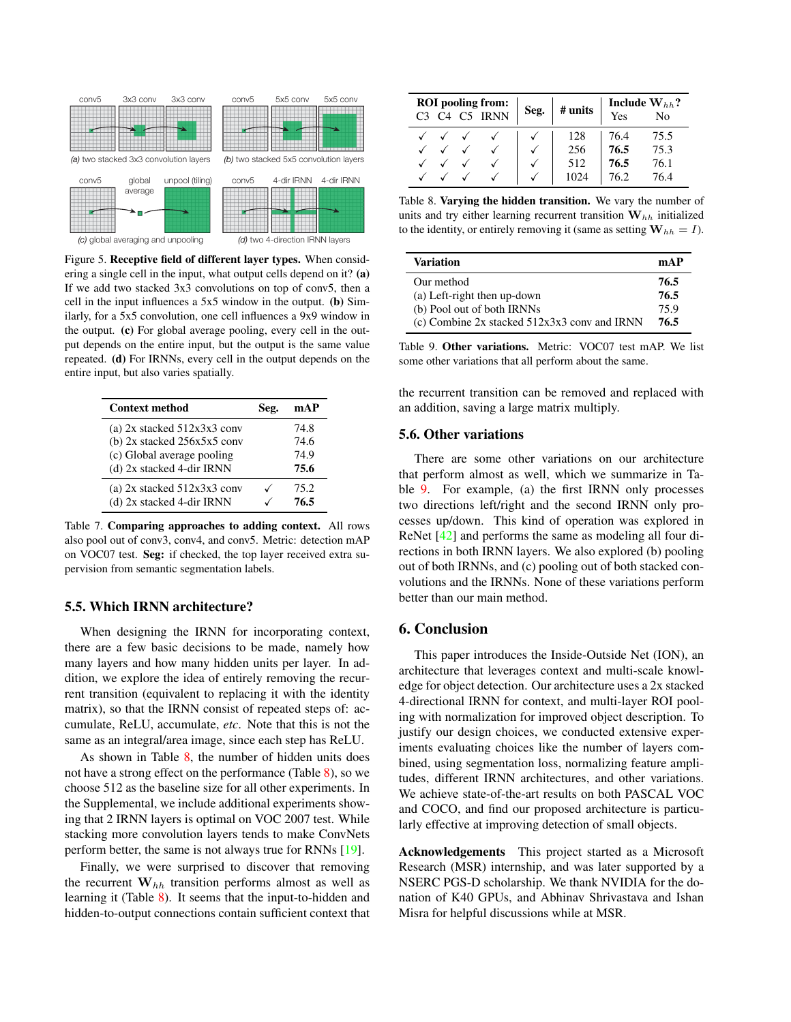<span id="page-7-5"></span>

<span id="page-7-1"></span>Figure 5. Receptive field of different layer types. When considering a single cell in the input, what output cells depend on it? (a) If we add two stacked 3x3 convolutions on top of conv5, then a cell in the input influences a 5x5 window in the output. (b) Similarly, for a 5x5 convolution, one cell influences a 9x9 window in the output. (c) For global average pooling, every cell in the output depends on the entire input, but the output is the same value repeated. (d) For IRNNs, every cell in the output depends on the entire input, but also varies spatially.

| <b>Context method</b>           | Seg. | mAP  |
|---------------------------------|------|------|
| (a) $2x$ stacked $512x3x3$ conv |      | 74.8 |
| (b) 2x stacked 256x5x5 conv     |      | 74.6 |
| (c) Global average pooling      |      | 74.9 |
| (d) 2x stacked 4-dir IRNN       |      | 75.6 |
| (a) $2x$ stacked $512x3x3$ conv |      | 75.2 |
| (d) 2x stacked 4-dir IRNN       |      | 76.5 |

<span id="page-7-2"></span>Table 7. Comparing approaches to adding context. All rows also pool out of conv3, conv4, and conv5. Metric: detection mAP on VOC07 test. Seg: if checked, the top layer received extra supervision from semantic segmentation labels.

## <span id="page-7-0"></span>5.5. Which IRNN architecture?

When designing the IRNN for incorporating context, there are a few basic decisions to be made, namely how many layers and how many hidden units per layer. In addition, we explore the idea of entirely removing the recurrent transition (equivalent to replacing it with the identity matrix), so that the IRNN consist of repeated steps of: accumulate, ReLU, accumulate, *etc*. Note that this is not the same as an integral/area image, since each step has ReLU.

As shown in Table  $8$ , the number of hidden units does not have a strong effect on the performance (Table [8\)](#page-7-3), so we choose 512 as the baseline size for all other experiments. In the Supplemental, we include additional experiments showing that 2 IRNN layers is optimal on VOC 2007 test. While stacking more convolution layers tends to make ConvNets perform better, the same is not always true for RNNs [\[19\]](#page-8-37).

Finally, we were surprised to discover that removing the recurrent  $W_{hh}$  transition performs almost as well as learning it (Table [8\)](#page-7-3). It seems that the input-to-hidden and hidden-to-output connections contain sufficient context that

|  | <b>ROI</b> pooling from:<br>C <sub>4</sub> C <sub>5</sub> IRNN | Seg. | # units | Yes  | Include $W_{hh}$ ?<br>N <sub>0</sub> |
|--|----------------------------------------------------------------|------|---------|------|--------------------------------------|
|  |                                                                |      | 128     | 76.4 | 75.5                                 |
|  |                                                                |      | 256     | 76.5 | 75.3                                 |
|  |                                                                |      | 512     | 76.5 | 76.1                                 |
|  |                                                                |      |         |      | 76.4                                 |

<span id="page-7-3"></span>Table 8. Varying the hidden transition. We vary the number of units and try either learning recurrent transition  $\mathbf{W}_{hh}$  initialized to the identity, or entirely removing it (same as setting  $W_{hh} = I$ ).

| <b>Variation</b>                                 | mAP  |
|--------------------------------------------------|------|
| Our method                                       | 76.5 |
| (a) Left-right then up-down                      | 76.5 |
| (b) Pool out of both IRNNs                       | 75.9 |
| (c) Combine $2x$ stacked $512x3x3$ conv and IRNN | 76.5 |

<span id="page-7-4"></span>Table 9. Other variations. Metric: VOC07 test mAP. We list some other variations that all perform about the same.

the recurrent transition can be removed and replaced with an addition, saving a large matrix multiply.

#### 5.6. Other variations

There are some other variations on our architecture that perform almost as well, which we summarize in Table [9.](#page-7-4) For example, (a) the first IRNN only processes two directions left/right and the second IRNN only processes up/down. This kind of operation was explored in ReNet [\[42\]](#page-9-3) and performs the same as modeling all four directions in both IRNN layers. We also explored (b) pooling out of both IRNNs, and (c) pooling out of both stacked convolutions and the IRNNs. None of these variations perform better than our main method.

### 6. Conclusion

This paper introduces the Inside-Outside Net (ION), an architecture that leverages context and multi-scale knowledge for object detection. Our architecture uses a 2x stacked 4-directional IRNN for context, and multi-layer ROI pooling with normalization for improved object description. To justify our design choices, we conducted extensive experiments evaluating choices like the number of layers combined, using segmentation loss, normalizing feature amplitudes, different IRNN architectures, and other variations. We achieve state-of-the-art results on both PASCAL VOC and COCO, and find our proposed architecture is particularly effective at improving detection of small objects.

Acknowledgements This project started as a Microsoft Research (MSR) internship, and was later supported by a NSERC PGS-D scholarship. We thank NVIDIA for the donation of K40 GPUs, and Abhinav Shrivastava and Ishan Misra for helpful discussions while at MSR.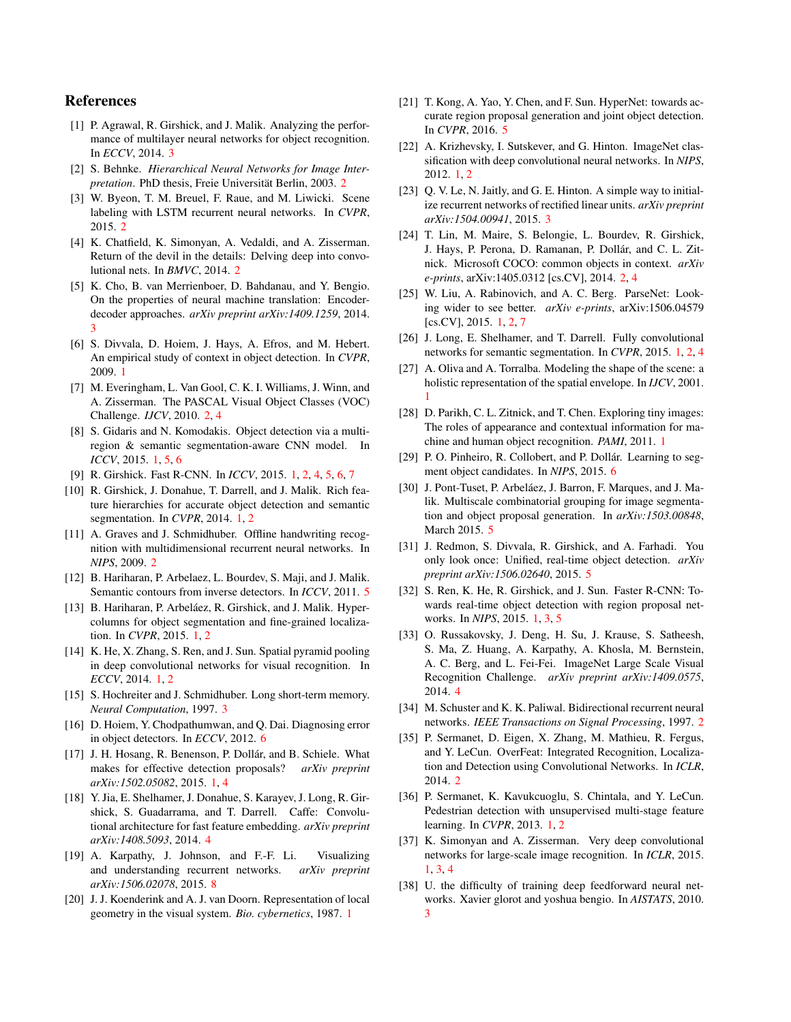# References

- <span id="page-8-25"></span>[1] P. Agrawal, R. Girshick, and J. Malik. Analyzing the performance of multilayer neural networks for object recognition. In *ECCV*, 2014. [3](#page-2-2)
- <span id="page-8-23"></span>[2] S. Behnke. *Hierarchical Neural Networks for Image Interpretation*. PhD thesis, Freie Universität Berlin, [2](#page-1-0)003. 2
- <span id="page-8-19"></span>[3] W. Byeon, T. M. Breuel, F. Raue, and M. Liwicki. Scene labeling with LSTM recurrent neural networks. In *CVPR*, 2015. [2](#page-1-0)
- <span id="page-8-20"></span>[4] K. Chatfield, K. Simonyan, A. Vedaldi, and A. Zisserman. Return of the devil in the details: Delving deep into convolutional nets. In *BMVC*, 2014. [2](#page-1-0)
- <span id="page-8-27"></span>[5] K. Cho, B. van Merrienboer, D. Bahdanau, and Y. Bengio. On the properties of neural machine translation: Encoderdecoder approaches. *arXiv preprint arXiv:1409.1259*, 2014. [3](#page-2-2)
- <span id="page-8-10"></span>[6] S. Divvala, D. Hoiem, J. Hays, A. Efros, and M. Hebert. An empirical study of context in object detection. In *CVPR*, 2009. [1](#page-0-1)
- <span id="page-8-16"></span>[7] M. Everingham, L. Van Gool, C. K. I. Williams, J. Winn, and A. Zisserman. The PASCAL Visual Object Classes (VOC) Challenge. *IJCV*, 2010. [2,](#page-1-0) [4](#page-3-4)
- <span id="page-8-0"></span>[8] S. Gidaris and N. Komodakis. Object detection via a multiregion & semantic segmentation-aware CNN model. In *ICCV*, 2015. [1,](#page-0-1) [5,](#page-4-3) [6](#page-5-4)
- <span id="page-8-2"></span>[9] R. Girshick. Fast R-CNN. In *ICCV*, 2015. [1,](#page-0-1) [2,](#page-1-0) [4,](#page-3-4) [5,](#page-4-3) [6,](#page-5-4) [7](#page-6-5)
- <span id="page-8-13"></span>[10] R. Girshick, J. Donahue, T. Darrell, and J. Malik. Rich feature hierarchies for accurate object detection and semantic segmentation. In *CVPR*, 2014. [1,](#page-0-1) [2](#page-1-0)
- <span id="page-8-18"></span>[11] A. Graves and J. Schmidhuber. Offline handwriting recognition with multidimensional recurrent neural networks. In *NIPS*, 2009. [2](#page-1-0)
- <span id="page-8-31"></span>[12] B. Hariharan, P. Arbelaez, L. Bourdev, S. Maji, and J. Malik. Semantic contours from inverse detectors. In *ICCV*, 2011. [5](#page-4-3)
- <span id="page-8-8"></span>[13] B. Hariharan, P. Arbeláez, R. Girshick, and J. Malik. Hypercolumns for object segmentation and fine-grained localization. In *CVPR*, 2015. [1,](#page-0-1) [2](#page-1-0)
- <span id="page-8-15"></span>[14] K. He, X. Zhang, S. Ren, and J. Sun. Spatial pyramid pooling in deep convolutional networks for visual recognition. In *ECCV*, 2014. [1,](#page-0-1) [2](#page-1-0)
- <span id="page-8-28"></span>[15] S. Hochreiter and J. Schmidhuber. Long short-term memory. *Neural Computation*, 1997. [3](#page-2-2)
- <span id="page-8-35"></span>[16] D. Hoiem, Y. Chodpathumwan, and Q. Dai. Diagnosing error in object detectors. In *ECCV*, 2012. [6](#page-5-4)
- <span id="page-8-14"></span>[17] J. H. Hosang, R. Benenson, P. Dollár, and B. Schiele. What makes for effective detection proposals? *arXiv preprint arXiv:1502.05082*, 2015. [1,](#page-0-1) [4](#page-3-4)
- <span id="page-8-29"></span>[18] Y. Jia, E. Shelhamer, J. Donahue, S. Karayev, J. Long, R. Girshick, S. Guadarrama, and T. Darrell. Caffe: Convolutional architecture for fast feature embedding. *arXiv preprint arXiv:1408.5093*, 2014. [4](#page-3-4)
- <span id="page-8-37"></span>[19] A. Karpathy, J. Johnson, and F.-F. Li. Visualizing and understanding recurrent networks. *arXiv preprint arXiv:1506.02078*, 2015. [8](#page-7-5)
- <span id="page-8-3"></span>[20] J. J. Koenderink and A. J. van Doorn. Representation of local geometry in the visual system. *Bio. cybernetics*, 1987. [1](#page-0-1)
- <span id="page-8-33"></span>[21] T. Kong, A. Yao, Y. Chen, and F. Sun. HyperNet: towards accurate region proposal generation and joint object detection. In *CVPR*, 2016. [5](#page-4-3)
- <span id="page-8-12"></span>[22] A. Krizhevsky, I. Sutskever, and G. Hinton. ImageNet classification with deep convolutional neural networks. In *NIPS*,  $2012.1, 2$  $2012.1, 2$  $2012.1, 2$  $2012.1, 2$
- <span id="page-8-24"></span>[23] Q. V. Le, N. Jaitly, and G. E. Hinton. A simple way to initialize recurrent networks of rectified linear units. *arXiv preprint arXiv:1504.00941*, 2015. [3](#page-2-2)
- <span id="page-8-17"></span>[24] T. Lin, M. Maire, S. Belongie, L. Bourdev, R. Girshick, J. Hays, P. Perona, D. Ramanan, P. Dollár, and C. L. Zitnick. Microsoft COCO: common objects in context. *arXiv e-prints*, arXiv:1405.0312 [cs.CV], 2014. [2,](#page-1-0) [4](#page-3-4)
- <span id="page-8-6"></span>[25] W. Liu, A. Rabinovich, and A. C. Berg. ParseNet: Looking wider to see better. *arXiv e-prints*, arXiv:1506.04579 [cs.CV], 2015. [1,](#page-0-1) [2,](#page-1-0) [7](#page-6-5)
- <span id="page-8-7"></span>[26] J. Long, E. Shelhamer, and T. Darrell. Fully convolutional networks for semantic segmentation. In *CVPR*, 2015. [1,](#page-0-1) [2,](#page-1-0) [4](#page-3-4)
- <span id="page-8-11"></span>[27] A. Oliva and A. Torralba. Modeling the shape of the scene: a holistic representation of the spatial envelope. In *IJCV*, 2001. [1](#page-0-1)
- <span id="page-8-9"></span>[28] D. Parikh, C. L. Zitnick, and T. Chen. Exploring tiny images: The roles of appearance and contextual information for machine and human object recognition. *PAMI*, 2011. [1](#page-0-1)
- <span id="page-8-36"></span>[29] P. O. Pinheiro, R. Collobert, and P. Dollár. Learning to segment object candidates. In *NIPS*, 2015. [6](#page-5-4)
- <span id="page-8-34"></span>[30] J. Pont-Tuset, P. Arbeláez, J. Barron, F. Marques, and J. Malik. Multiscale combinatorial grouping for image segmentation and object proposal generation. In *arXiv:1503.00848*, March 2015. [5](#page-4-3)
- <span id="page-8-32"></span>[31] J. Redmon, S. Divvala, R. Girshick, and A. Farhadi. You only look once: Unified, real-time object detection. *arXiv preprint arXiv:1506.02640*, 2015. [5](#page-4-3)
- <span id="page-8-1"></span>[32] S. Ren, K. He, R. Girshick, and J. Sun. Faster R-CNN: Towards real-time object detection with region proposal networks. In *NIPS*, 2015. [1,](#page-0-1) [3,](#page-2-2) [5](#page-4-3)
- <span id="page-8-30"></span>[33] O. Russakovsky, J. Deng, H. Su, J. Krause, S. Satheesh, S. Ma, Z. Huang, A. Karpathy, A. Khosla, M. Bernstein, A. C. Berg, and L. Fei-Fei. ImageNet Large Scale Visual Recognition Challenge. *arXiv preprint arXiv:1409.0575*, 2014. [4](#page-3-4)
- <span id="page-8-22"></span>[34] M. Schuster and K. K. Paliwal. Bidirectional recurrent neural networks. *IEEE Transactions on Signal Processing*, 1997. [2](#page-1-0)
- <span id="page-8-21"></span>[35] P. Sermanet, D. Eigen, X. Zhang, M. Mathieu, R. Fergus, and Y. LeCun. OverFeat: Integrated Recognition, Localization and Detection using Convolutional Networks. In *ICLR*, 2014. [2](#page-1-0)
- <span id="page-8-5"></span>[36] P. Sermanet, K. Kavukcuoglu, S. Chintala, and Y. LeCun. Pedestrian detection with unsupervised multi-stage feature learning. In *CVPR*, 2013. [1,](#page-0-1) [2](#page-1-0)
- <span id="page-8-4"></span>[37] K. Simonyan and A. Zisserman. Very deep convolutional networks for large-scale image recognition. In *ICLR*, 2015. [1,](#page-0-1) [3,](#page-2-2) [4](#page-3-4)
- <span id="page-8-26"></span>[38] U. the difficulty of training deep feedforward neural networks. Xavier glorot and yoshua bengio. In *AISTATS*, 2010. [3](#page-2-2)